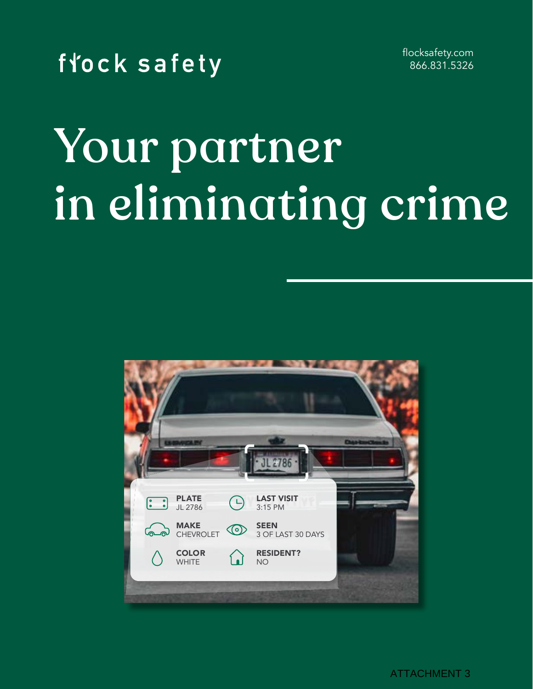

flocksafety.com 866.831.5326

# Your partner in eliminating crime



ATTACHMENT 3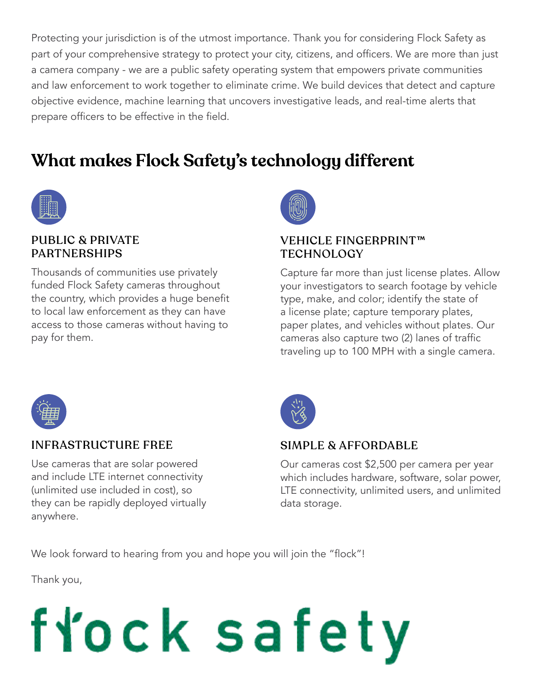Protecting your jurisdiction is of the utmost importance. Thank you for considering Flock Safety as part of your comprehensive strategy to protect your city, citizens, and officers. We are more than just a camera company - we are a public safety operating system that empowers private communities and law enforcement to work together to eliminate crime. We build devices that detect and capture objective evidence, machine learning that uncovers investigative leads, and real-time alerts that prepare officers to be effective in the field.

## **What makes Flock Safety's technology different**



#### PUBLIC & PRIVATE PARTNERSHIPS

Thousands of communities use privately funded Flock Safety cameras throughout the country, which provides a huge benefit to local law enforcement as they can have access to those cameras without having to pay for them.



#### VEHICLE FINGERPRINT™ **TECHNOLOGY**

Capture far more than just license plates. Allow your investigators to search footage by vehicle type, make, and color; identify the state of a license plate; capture temporary plates, paper plates, and vehicles without plates. Our cameras also capture two (2) lanes of traffic traveling up to 100 MPH with a single camera.



#### INFRASTRUCTURE FREE

Use cameras that are solar powered and include LTE internet connectivity (unlimited use included in cost), so they can be rapidly deployed virtually anywhere.



#### SIMPLE & AFFORDABLE

Our cameras cost \$2,500 per camera per year which includes hardware, software, solar power, LTE connectivity, unlimited users, and unlimited data storage.

We look forward to hearing from you and hope you will join the "flock"!

Thank you,

# fłock safety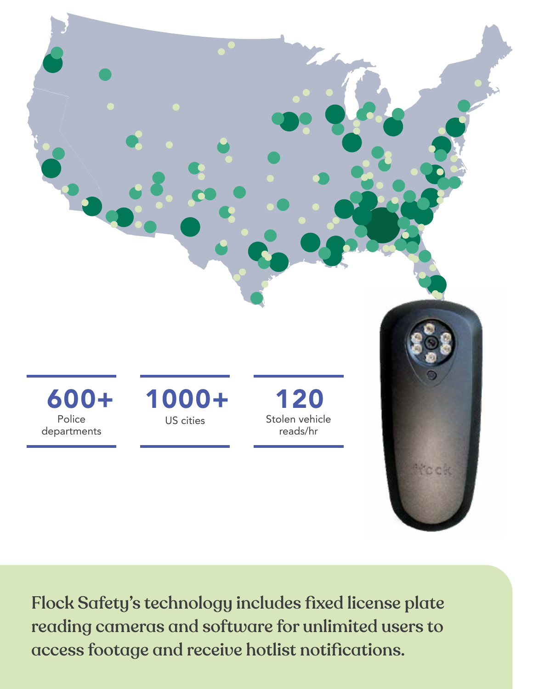

Flock Safety's technology includes fixed license plate reading cameras and software for unlimited users to access footage and receive hotlist notifications.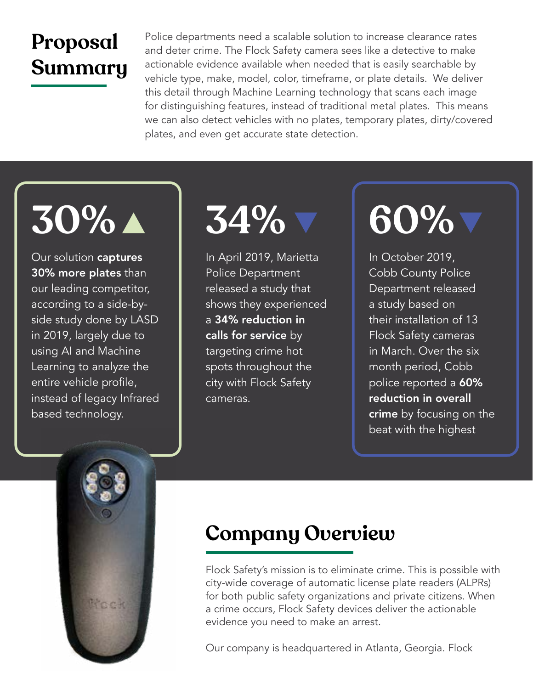## **Proposal Summary**

Police departments need a scalable solution to increase clearance rates and deter crime. The Flock Safety camera sees like a detective to make actionable evidence available when needed that is easily searchable by vehicle type, make, model, color, timeframe, or plate details. We deliver this detail through Machine Learning technology that scans each image for distinguishing features, instead of traditional metal plates. This means we can also detect vehicles with no plates, temporary plates, dirty/covered plates, and even get accurate state detection.

Our solution captures 30% more plates than our leading competitor, according to a side-byside study done by LASD in 2019, largely due to using AI and Machine Learning to analyze the entire vehicle profile, instead of legacy Infrared based technology.



In April 2019, Marietta Police Department released a study that shows they experienced a 34% reduction in calls for service by targeting crime hot spots throughout the city with Flock Safety cameras.

In October 2019, Cobb County Police Department released a study based on their installation of 13 Flock Safety cameras in March. Over the six month period, Cobb police reported a 60% reduction in overall crime by focusing on the beat with the highest



## **Company Overview**

Flock Safety's mission is to eliminate crime. This is possible with city-wide coverage of automatic license plate readers (ALPRs) for both public safety organizations and private citizens. When a crime occurs, Flock Safety devices deliver the actionable evidence you need to make an arrest.

Our company is headquartered in Atlanta, Georgia. Flock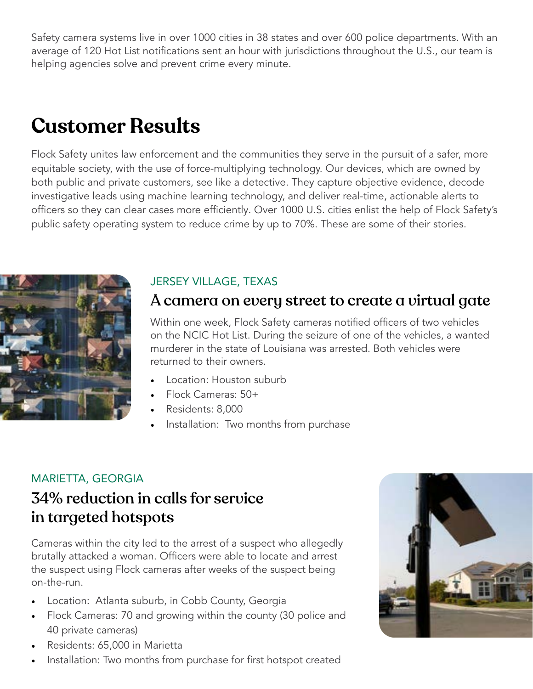Safety camera systems live in over 1000 cities in 38 states and over 600 police departments. With an average of 120 Hot List notifications sent an hour with jurisdictions throughout the U.S., our team is helping agencies solve and prevent crime every minute.

## **Customer Results**

Flock Safety unites law enforcement and the communities they serve in the pursuit of a safer, more equitable society, with the use of force-multiplying technology. Our devices, which are owned by both public and private customers, see like a detective. They capture objective evidence, decode investigative leads using machine learning technology, and deliver real-time, actionable alerts to officers so they can clear cases more efficiently. Over 1000 U.S. cities enlist the help of Flock Safety's public safety operating system to reduce crime by up to 70%. These are some of their stories.



#### JERSEY VILLAGE, TEXAS

#### A camera on every street to create a virtual gate

Within one week, Flock Safety cameras notified officers of two vehicles on the NCIC Hot List. During the seizure of one of the vehicles, a wanted murderer in the state of Louisiana was arrested. Both vehicles were returned to their owners.

- Location: Houston suburb
- Flock Cameras: 50+
- Residents: 8,000
- Installation: Two months from purchase

#### MARIETTA, GEORGIA

### 34% reduction in calls for service in targeted hotspots

Cameras within the city led to the arrest of a suspect who allegedly brutally attacked a woman. Officers were able to locate and arrest the suspect using Flock cameras after weeks of the suspect being on-the-run.

- Location: Atlanta suburb, in Cobb County, Georgia
- Flock Cameras: 70 and growing within the county (30 police and 40 private cameras)
- Residents: 65,000 in Marietta
- Installation: Two months from purchase for first hotspot created

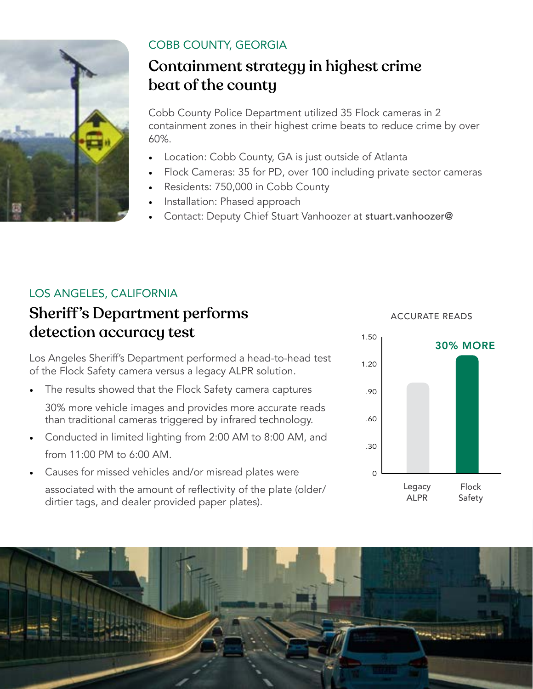

#### COBB COUNTY, GEORGIA

### Containment strategy in highest crime beat of the county

Cobb County Police Department utilized 35 Flock cameras in 2 containment zones in their highest crime beats to reduce crime by over 60%.

- Location: Cobb County, GA is just outside of Atlanta
- Flock Cameras: 35 for PD, over 100 including private sector cameras
- Residents: 750,000 in Cobb County
- Installation: Phased approach
- Contact: Deputy Chief Stuart Vanhoozer at stuart.vanhoozer@

#### LOS ANGELES, CALIFORNIA

### Sheriff's Department performs detection accuracy test

Los Angeles Sheriff's Department performed a head-to-head test of the Flock Safety camera versus a legacy ALPR solution.

The results showed that the Flock Safety camera captures

30% more vehicle images and provides more accurate reads than traditional cameras triggered by infrared technology.

- Conducted in limited lighting from 2:00 AM to 8:00 AM, and from 11:00 PM to 6:00 AM.
- Causes for missed vehicles and/or misread plates were associated with the amount of reflectivity of the plate (older/ dirtier tags, and dealer provided paper plates).

#### ACCURATE READS



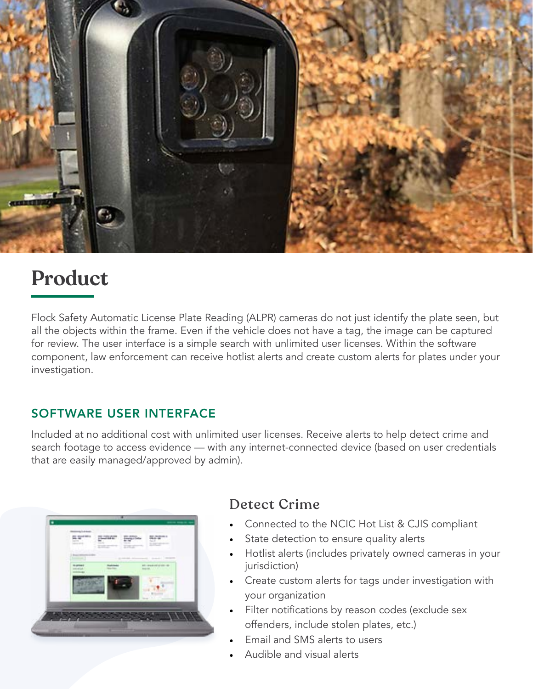

## **Product**

Flock Safety Automatic License Plate Reading (ALPR) cameras do not just identify the plate seen, but all the objects within the frame. Even if the vehicle does not have a tag, the image can be captured for review. The user interface is a simple search with unlimited user licenses. Within the software component, law enforcement can receive hotlist alerts and create custom alerts for plates under your investigation.

#### SOFTWARE USER INTERFACE

Included at no additional cost with unlimited user licenses. Receive alerts to help detect crime and search footage to access evidence — with any internet-connected device (based on user credentials that are easily managed/approved by admin).

| money Lokace                    |                                                                  |                                           |
|---------------------------------|------------------------------------------------------------------|-------------------------------------------|
| <b>The Market William</b>       | <b>PLOTENT</b><br><b>The Corporation</b><br><b>SHEET</b><br>T/TT | $66 - 10$<br><b>SIGHT</b>                 |
| The party of the control of the |                                                                  |                                           |
| <b><i><u>Distant</u></i></b>    |                                                                  | AD-94840-201-9<br>main and a state of the |
| <b><i>STATISTICS</i></b>        |                                                                  |                                           |
|                                 |                                                                  |                                           |
|                                 |                                                                  |                                           |
|                                 |                                                                  |                                           |
|                                 |                                                                  |                                           |

#### Detect Crime

- Connected to the NCIC Hot List & CJIS compliant
- State detection to ensure quality alerts
- Hotlist alerts (includes privately owned cameras in your jurisdiction)
- Create custom alerts for tags under investigation with your organization
- Filter notifications by reason codes (exclude sex offenders, include stolen plates, etc.)
- Email and SMS alerts to users
- Audible and visual alerts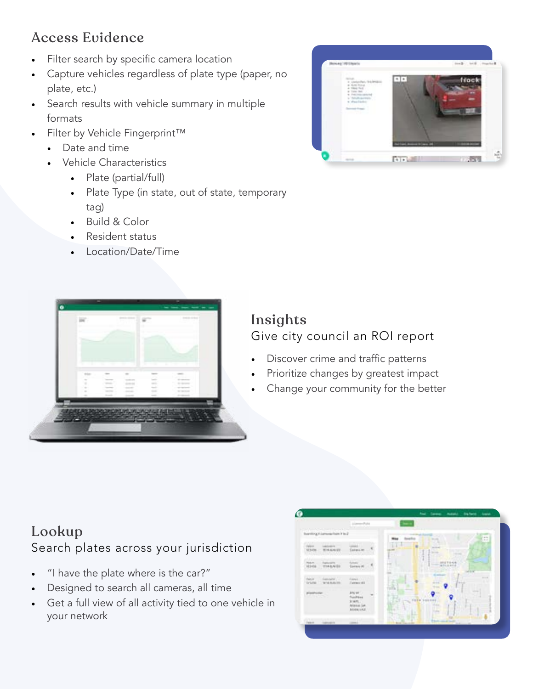#### Access Evidence

- Filter search by specific camera location
- Capture vehicles regardless of plate type (paper, no plate, etc.)
- Search results with vehicle summary in multiple formats
- Filter by Vehicle Fingerprint™
	- Date and time
	- Vehicle Characteristics
		- Plate (partial/full)
		- Plate Type (in state, out of state, temporary tag)
		- Build & Color
		- Resident status
		- Location/Date/Time





#### Insights Give city council an ROI report

- Discover crime and traffic patterns
- Prioritize changes by greatest impact
- Change your community for the better

#### Lookup Search plates across your jurisdiction

- "I have the plate where is the car?"
- Designed to search all cameras, all time
- Get a full view of all activity tied to one vehicle in your network

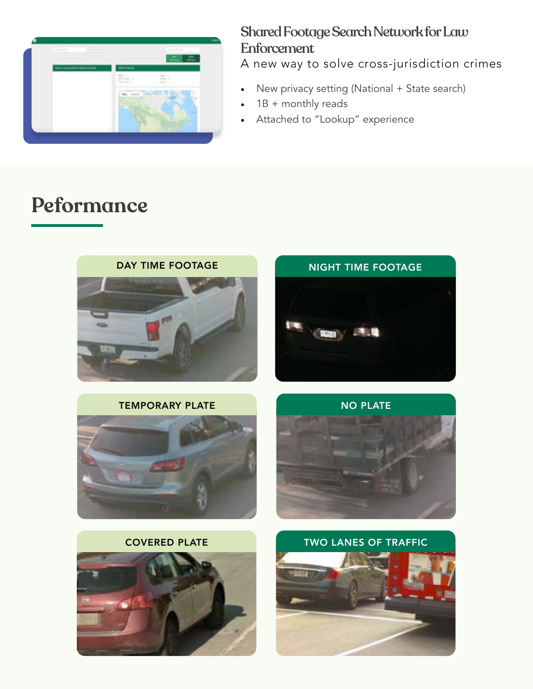

#### Shared Footage Search Network for Law **Enforcement**

A new way to solve cross-jurisdiction crimes

- New privacy setting (National + State search)
- $1B +$  monthly reads
- Attached to "Lookup" experience

## **Peformance**



#### COVERED PLATE





NO PLATE

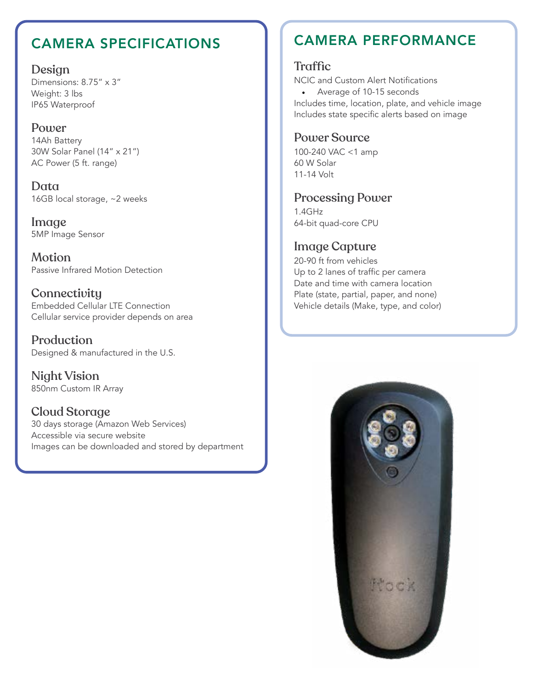Design

Dimensions: 8.75" x 3" Weight: 3 lbs IP65 Waterproof

#### Power

14Ah Battery 30W Solar Panel (14" x 21") AC Power (5 ft. range)

Data 16GB local storage, ~2 weeks

Image 5MP Image Sensor

**Motion** Passive Infrared Motion Detection

**Connectivity** Embedded Cellular LTE Connection Cellular service provider depends on area

Production Designed & manufactured in the U.S.

Night Vision 850nm Custom IR Array

Cloud Storage 30 days storage (Amazon Web Services) Accessible via secure website Images can be downloaded and stored by department

#### CAMERA SPECIFICATIONS CAMERA PERFORMANCE

#### **Traffic**

NCIC and Custom Alert Notifications

• Average of 10-15 seconds Includes time, location, plate, and vehicle image Includes state specific alerts based on image

#### Power Source

100-240 VAC <1 amp 60 W Solar 11-14 Volt

#### Processing Power

1.4GHz 64-bit quad-core CPU

#### Image Capture

20-90 ft from vehicles Up to 2 lanes of traffic per camera Date and time with camera location Plate (state, partial, paper, and none) Vehicle details (Make, type, and color)

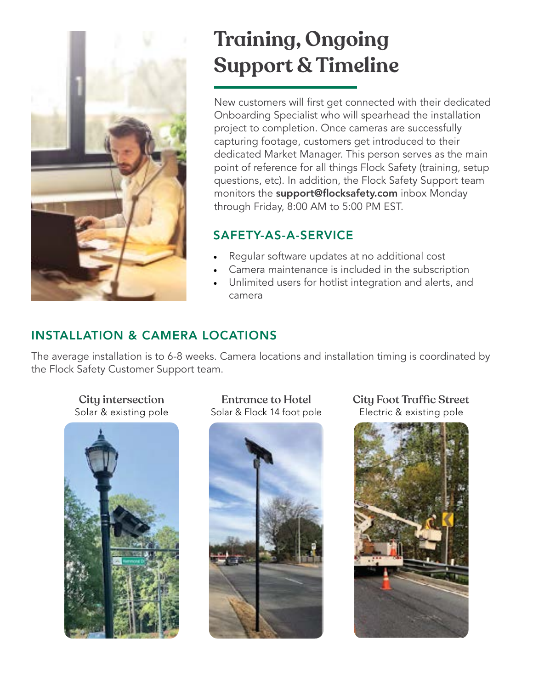

## **Training, Ongoing Support & Timeline**

New customers will first get connected with their dedicated Onboarding Specialist who will spearhead the installation project to completion. Once cameras are successfully capturing footage, customers get introduced to their dedicated Market Manager. This person serves as the main point of reference for all things Flock Safety (training, setup questions, etc). In addition, the Flock Safety Support team monitors the **support@flocksafety.com** inbox Monday through Friday, 8:00 AM to 5:00 PM EST.

#### SAFETY-AS-A-SERVICE

- Regular software updates at no additional cost
- Camera maintenance is included in the subscription
- Unlimited users for hotlist integration and alerts, and camera

#### INSTALLATION & CAMERA LOCATIONS

The average installation is to 6-8 weeks. Camera locations and installation timing is coordinated by the Flock Safety Customer Support team.

City intersection Solar & existing pole



Entrance to Hotel Solar & Flock 14 foot pole



City Foot Traffic Street Electric & existing pole

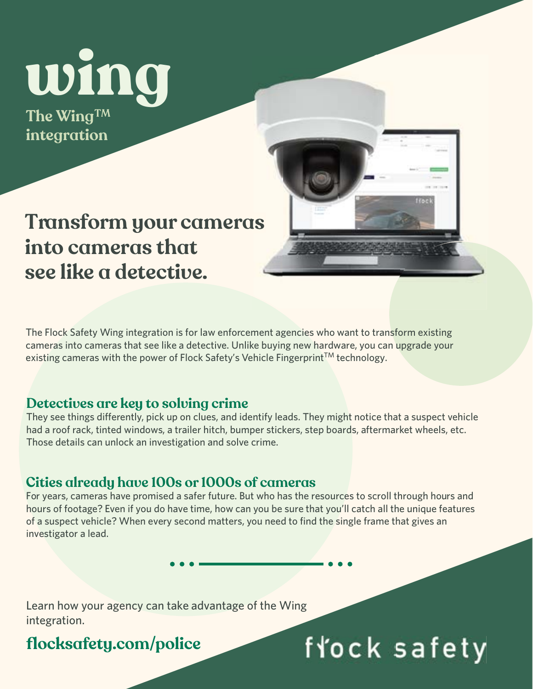# **wing**

**The Wing TM integration**

## **Transform your cameras into cameras that see like a detective.**

The Flock Safety Wing integration is for law enforcement agencies who want to transform existing cameras into cameras that see like a detective. Unlike buying new hardware, you can upgrade your existing cameras with the power of Flock Safety's Vehicle Fingerprint™ technology.

#### **Detectives are key to solving crime**

They see things differently, pick up on clues, and identify leads. They might notice that a suspect vehicle had a roof rack, tinted windows, a trailer hitch, bumper stickers, step boards, aftermarket wheels, etc. Those details can unlock an investigation and solve crime.

#### **Cities already have 100s or 1000s of cameras**

For years, cameras have promised a safer future. But who has the resources to scroll through hours and hours of footage? Even if you do have time, how can you be sure that you'll catch all the unique features of a suspect vehicle? When every second matters, you need to find the single frame that gives an investigator a lead.

fłock safety

Learn how your agency can take advantage of the Wing integration.

**flocksafety.com/police**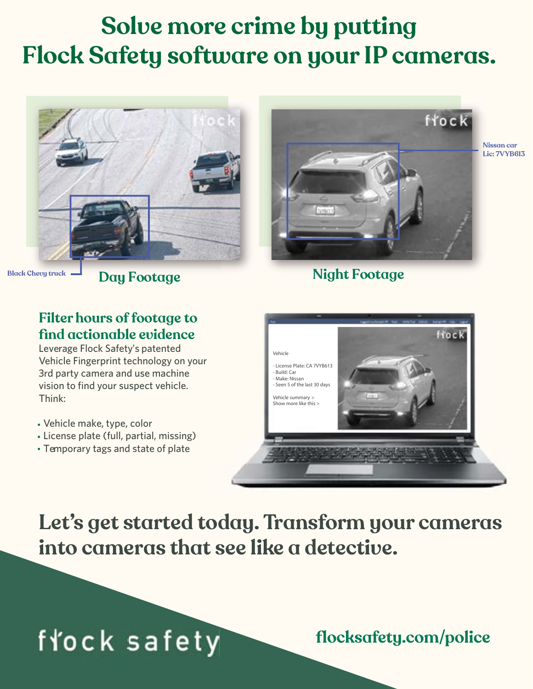## **Solve more crime by putting Flock Safety software on your IP cameras.**





**Day Footage Might Footage** 

**Black Chevy truck**

#### **Filter hours of footage to find actionable evidence**

Leverage Flock Safety's patented Vehicle Fingerprint technology on your 3rd party camera and use machine vision to find your suspect vehicle. Think:

- Vehicle make, type, color
- License plate (full, partial, missing)
- Temporary tags and state of plate



**Let's get started today. Transform your cameras into cameras that see like a detective.**

## fłock safety

**flocksafety.com/police**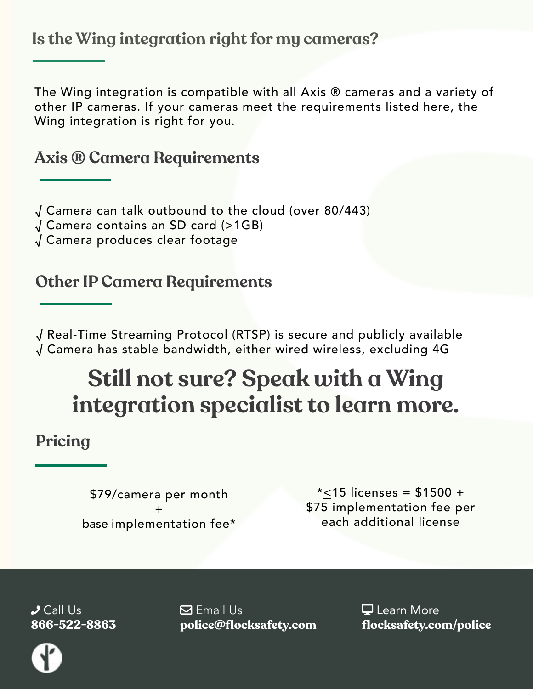**Is the Wing integration right for my cameras?**

The Wing integration is compatible with all Axis ® cameras and a variety of other IP cameras. If your cameras meet the requirements listed here, the Wing integration is right for you.

#### **Axis ® Camera Requirements**

√ Camera can talk outbound to the cloud (over 80/443)

√ Camera contains an SD card (>1GB)

√ Camera produces clear footage

#### **Other IP Camera Requirements**

√ Real-Time Streaming Protocol (RTSP) is secure and publicly available √ Camera has stable bandwidth, either wired wireless, excluding 4G

## **Still not sure? Speak with a Wing integration specialist to learn more.**

#### **Pricing**

\$79/camera per month + base implementation fee\*

 $*$ <15 licenses = \$1500 + \$75 implementation fee per each additional license

 $J$  Call Us **866-522-8863**  $\boxdot$  Email Us **police@flocksafety.com**

 Learn More **flocksafety.com/police**